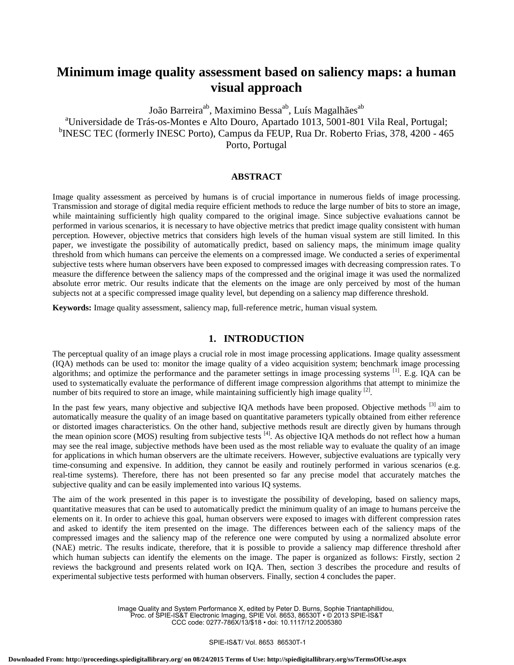# **Minimum image quality assessment based on saliency maps: a human visual approach**

João Barreira<sup>ab</sup>, Maximino Bessa<sup>ab</sup>, Luís Magalhães<sup>ab</sup> <sup>a</sup>Universidade de Trás-os-Montes e Alto Douro, Apartado 1013, 5001-801 Vila Real, Portugal; <sup>b</sup>INESC TEC (formerly INESC Porto), Campus da FEUP, Rua Dr. Roberto Frias, 378, 4200 - 465 Porto, Portugal

# **ABSTRACT**

Image quality assessment as perceived by humans is of crucial importance in numerous fields of image processing. Transmission and storage of digital media require efficient methods to reduce the large number of bits to store an image, while maintaining sufficiently high quality compared to the original image. Since subjective evaluations cannot be performed in various scenarios, it is necessary to have objective metrics that predict image quality consistent with human perception. However, objective metrics that considers high levels of the human visual system are still limited. In this paper, we investigate the possibility of automatically predict, based on saliency maps, the minimum image quality threshold from which humans can perceive the elements on a compressed image. We conducted a series of experimental subjective tests where human observers have been exposed to compressed images with decreasing compression rates. To measure the difference between the saliency maps of the compressed and the original image it was used the normalized absolute error metric. Our results indicate that the elements on the image are only perceived by most of the human subjects not at a specific compressed image quality level, but depending on a saliency map difference threshold.

**Keywords:** Image quality assessment, saliency map, full-reference metric, human visual system.

# **1. INTRODUCTION**

The perceptual quality of an image plays a crucial role in most image processing applications. Image quality assessment (IQA) methods can be used to: monitor the image quality of a video acquisition system; benchmark image processing algorithms; and optimize the performance and the parameter settings in image processing systems <sup>[1]</sup>. E.g. IQA can be used to systematically evaluate the performance of different image compression algorithms that attempt to minimize the number of bits required to store an image, while maintaining sufficiently high image quality <sup>[2]</sup>.

In the past few years, many objective and subjective IOA methods have been proposed. Objective methods <sup>[3]</sup> aim to automatically measure the quality of an image based on quantitative parameters typically obtained from either reference or distorted images characteristics. On the other hand, subjective methods result are directly given by humans through the mean opinion score (MOS) resulting from subjective tests [4]. As objective IQA methods do not reflect how a human may see the real image, subjective methods have been used as the most reliable way to evaluate the quality of an image for applications in which human observers are the ultimate receivers. However, subjective evaluations are typically very time-consuming and expensive. In addition, they cannot be easily and routinely performed in various scenarios (e.g. real-time systems). Therefore, there has not been presented so far any precise model that accurately matches the subjective quality and can be easily implemented into various IQ systems.

The aim of the work presented in this paper is to investigate the possibility of developing, based on saliency maps, quantitative measures that can be used to automatically predict the minimum quality of an image to humans perceive the elements on it. In order to achieve this goal, human observers were exposed to images with different compression rates and asked to identify the item presented on the image. The differences between each of the saliency maps of the compressed images and the saliency map of the reference one were computed by using a normalized absolute error (NAE) metric. The results indicate, therefore, that it is possible to provide a saliency map difference threshold after which human subjects can identify the elements on the image. The paper is organized as follows: Firstly, section 2 reviews the background and presents related work on IQA. Then, section 3 describes the procedure and results of experimental subjective tests performed with human observers. Finally, section 4 concludes the paper.

> Image Quality and System Performance X, edited by Peter D. Burns, Sophie Triantaphillidou, Proc. of SPIE-IS&T Electronic Imaging, SPIE Vol. 8653, 86530T • © 2013 SPIE-IS&T CCC code: 0277-786X/13/\$18 • doi: 10.1117/12.2005380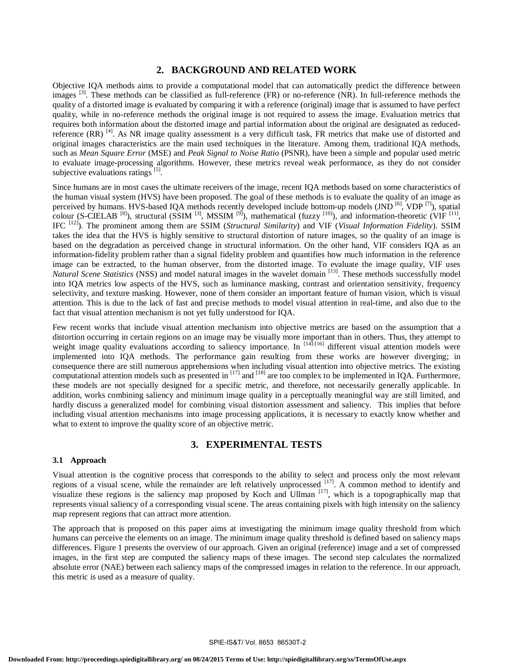# **2. BACKGROUND AND RELATED WORK**

Objective IQA methods aims to provide a computational model that can automatically predict the difference between images <sup>[3]</sup>. These methods can be classified as full-reference (FR) or no-reference (NR). In full-reference methods the quality of a distorted image is evaluated by comparing it with a reference (original) image that is assumed to have perfect quality, while in no-reference methods the original image is not required to assess the image. Evaluation metrics that requires both information about the distorted image and partial information about the original are designated as reducedreference (RR)<sup>[4]</sup>. As NR image quality assessment is a very difficult task, FR metrics that make use of distorted and original images characteristics are the main used techniques in the literature. Among them, traditional IQA methods, such as *Mean Square Error* (MSE) and *Peak Signal to Noise Ratio* (PSNR), have been a simple and popular used metric to evaluate image-processing algorithms. However, these metrics reveal weak performance, as they do not consider subjective evaluations ratings  $[5]$ .

Since humans are in most cases the ultimate receivers of the image, recent IQA methods based on some characteristics of the human visual system (HVS) have been proposed. The goal of these methods is to evaluate the quality of an image as perceived by humans. HVS-based IQA methods recently developed include bottom-up models  $\overline{(IND^{[6]}}, \overline{VDP^{[7]}})$ , spatial colour (S-CIELAB<sup>[8]</sup>), structural (SSIM<sup>[3]</sup>, MSSIM<sup>[9]</sup>), mathematical (fuzzy<sup>[10]</sup>), and information-theoretic (VIF<sup>[11]</sup>, IFC [12] ). The prominent among them are SSIM (*Structural Similarity*) and VIF (*Visual Information Fidelity*). SSIM takes the idea that the HVS is highly sensitive to structural distortion of nature images, so the quality of an image is based on the degradation as perceived change in structural information. On the other hand, VIF considers IQA as an information-fidelity problem rather than a signal fidelity problem and quantifies how much information in the reference image can be extracted, to the human observer, from the distorted image. To evaluate the image quality, VIF uses Natural Scene Statistics (NSS) and model natural images in the wavelet domain [13]. These methods successfully model into IQA metrics low aspects of the HVS, such as luminance masking, contrast and orientation sensitivity, frequency selectivity, and texture masking. However, none of them consider an important feature of human vision, which is visual attention. This is due to the lack of fast and precise methods to model visual attention in real-time, and also due to the fact that visual attention mechanism is not yet fully understood for IQA.

Few recent works that include visual attention mechanism into objective metrics are based on the assumption that a distortion occurring in certain regions on an image may be visually more important than in others. Thus, they attempt to weight image quality evaluations according to saliency importance. In [14]-[16] different visual attention models were implemented into IQA methods. The performance gain resulting from these works are however diverging; in consequence there are still numerous apprehensions when including visual attention into objective metrics. The existing computational attention models such as presented in  $^{[17]}$  and  $^{[18]}$  are too complex to be implemented in IQA. Furthermore, these models are not specially designed for a specific metric, and therefore, not necessarily generally applicable. In addition, works combining saliency and minimum image quality in a perceptually meaningful way are still limited, and hardly discuss a generalized model for combining visual distortion assessment and saliency. This implies that before including visual attention mechanisms into image processing applications, it is necessary to exactly know whether and what to extent to improve the quality score of an objective metric.

## **3. EXPERIMENTAL TESTS**

#### **3.1 Approach**

Visual attention is the cognitive process that corresponds to the ability to select and process only the most relevant regions of a visual scene, while the remainder are left relatively unprocessed [17]. A common method to identify and visualize these regions is the saliency map proposed by Koch and Ullman  $[17]$ , which is a topographically map that represents visual saliency of a corresponding visual scene. The areas containing pixels with high intensity on the saliency map represent regions that can attract more attention.

The approach that is proposed on this paper aims at investigating the minimum image quality threshold from which humans can perceive the elements on an image. The minimum image quality threshold is defined based on saliency maps differences. Figure 1 presents the overview of our approach. Given an original (reference) image and a set of compressed images, in the first step are computed the saliency maps of these images. The second step calculates the normalized absolute error (NAE) between each saliency maps of the compressed images in relation to the reference. In our approach, this metric is used as a measure of quality.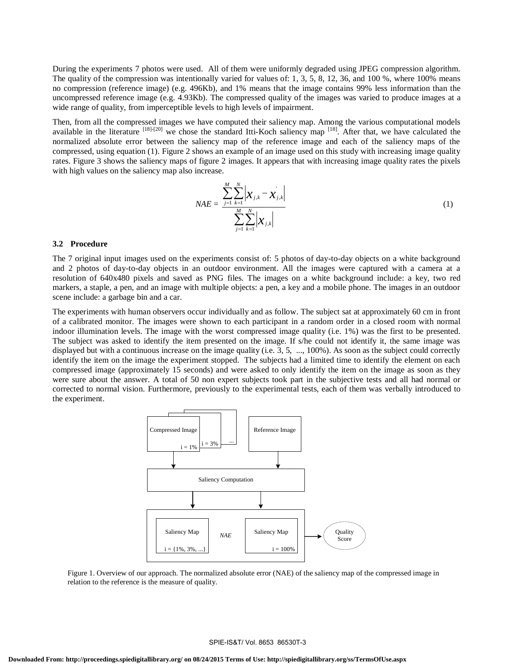During the experiments 7 photos were used. All of them were uniformly degraded using JPEG compression algorithm. The quality of the compression was intentionally varied for values of: 1, 3, 5, 8, 12, 36, and 100 %, where 100% means no compression (reference image) (e.g. 496Kb), and 1% means that the image contains 99% less information than the uncompressed reference image (e.g. 4.93Kb). The compressed quality of the images was varied to produce images at a wide range of quality, from imperceptible levels to high levels of impairment.

Then, from all the compressed images we have computed their saliency map. Among the various computational models available in the literature  $^{[18]+[20]}$  we chose the standard Itti-Koch saliency map  $^{[18]}$ . After that, we have calculated the normalized absolute error between the saliency map of the reference image and each of the saliency maps of the compressed, using equation (1). Figure 2 shows an example of an image used on this study with increasing image quality rates. Figure 3 shows the saliency maps of figure 2 images. It appears that with increasing image quality rates the pixels with high values on the saliency map also increase.

$$
NAE = \frac{\sum_{j=1}^{M} \sum_{k=1}^{N} \left| \mathcal{X}_{j,k} - \mathcal{X}_{j,k} \right|}{\sum_{j=1}^{M} \sum_{k=1}^{N} \left| \mathcal{X}_{j,k} \right|}
$$
(1)

#### **3.2 Procedure**

The 7 original input images used on the experiments consist of: 5 photos of day-to-day objects on a white background and 2 photos of day-to-day objects in an outdoor environment. All the images were captured with a camera at a resolution of 640x480 pixels and saved as PNG files. The images on a white background include: a key, two red markers, a staple, a pen, and an image with multiple objects: a pen, a key and a mobile phone. The images in an outdoor scene include: a garbage bin and a car.

The experiments with human observers occur individually and as follow. The subject sat at approximately 60 cm in front of a calibrated monitor. The images were shown to each participant in a random order in a closed room with normal indoor illumination levels. The image with the worst compressed image quality (i.e. 1%) was the first to be presented. The subject was asked to identify the item presented on the image. If s/he could not identify it, the same image was displayed but with a continuous increase on the image quality (i.e. 3, 5, ..., 100%). As soon as the subject could correctly identify the item on the image the experiment stopped. The subjects had a limited time to identify the element on each compressed image (approximately 15 seconds) and were asked to only identify the item on the image as soon as they were sure about the answer. A total of 50 non expert subjects took part in the subjective tests and all had normal or corrected to normal vision. Furthermore, previously to the experimental tests, each of them was verbally introduced to the experiment.



Figure 1. Overview of our approach. The normalized absolute error (NAE) of the saliency map of the compressed image in relation to the reference is the measure of quality.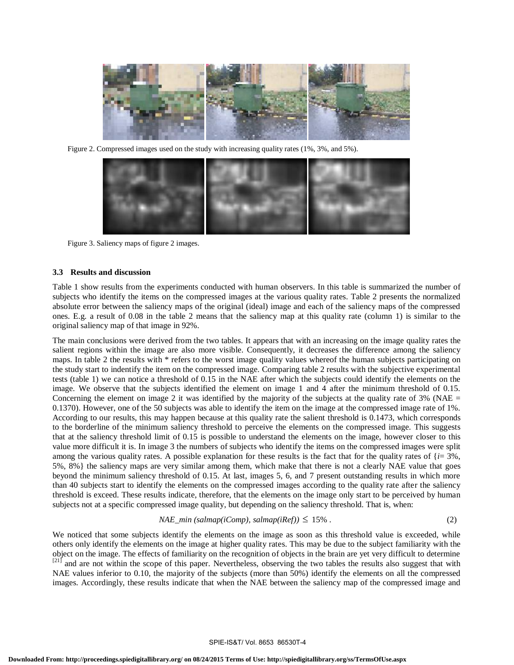

Figure 2. Compressed images used on the study with increasing quality rates (1%, 3%, and 5%).



Figure 3. Saliency maps of figure 2 images.

## **3.3 Results and discussion**

Table 1 show results from the experiments conducted with human observers. In this table is summarized the number of subjects who identify the items on the compressed images at the various quality rates. Table 2 presents the normalized absolute error between the saliency maps of the original (ideal) image and each of the saliency maps of the compressed ones. E.g. a result of 0.08 in the table 2 means that the saliency map at this quality rate (column 1) is similar to the original saliency map of that image in 92%.

The main conclusions were derived from the two tables. It appears that with an increasing on the image quality rates the salient regions within the image are also more visible. Consequently, it decreases the difference among the saliency maps. In table 2 the results with \* refers to the worst image quality values whereof the human subjects participating on the study start to indentify the item on the compressed image. Comparing table 2 results with the subjective experimental tests (table 1) we can notice a threshold of 0.15 in the NAE after which the subjects could identify the elements on the image. We observe that the subjects identified the element on image 1 and 4 after the minimum threshold of 0.15. Concerning the element on image 2 it was identified by the majority of the subjects at the quality rate of  $3\%$  (NAE = 0.1370). However, one of the 50 subjects was able to identify the item on the image at the compressed image rate of 1%. According to our results, this may happen because at this quality rate the salient threshold is 0.1473, which corresponds to the borderline of the minimum saliency threshold to perceive the elements on the compressed image. This suggests that at the saliency threshold limit of 0.15 is possible to understand the elements on the image, however closer to this value more difficult it is. In image 3 the numbers of subjects who identify the items on the compressed images were split among the various quality rates. A possible explanation for these results is the fact that for the quality rates of  ${i = 3\%}$ , 5%, 8%} the saliency maps are very similar among them, which make that there is not a clearly NAE value that goes beyond the minimum saliency threshold of 0.15. At last, images 5, 6, and 7 present outstanding results in which more than 40 subjects start to identify the elements on the compressed images according to the quality rate after the saliency threshold is exceed. These results indicate, therefore, that the elements on the image only start to be perceived by human subjects not at a specific compressed image quality, but depending on the saliency threshold. That is, when:

$$
NAE\_min\ (salmap(iComp), salmap(iRef)) \le 15\% \ . \tag{2}
$$

We noticed that some subjects identify the elements on the image as soon as this threshold value is exceeded, while others only identify the elements on the image at higher quality rates. This may be due to the subject familiarity with the object on the image. The effects of familiarity on the recognition of objects in the brain are yet very difficult to determine  $[21]$  and are not within the scope of this paper. Nevertheless, observing the two tables the results also suggest that with NAE values inferior to 0.10, the majority of the subjects (more than 50%) identify the elements on all the compressed images. Accordingly, these results indicate that when the NAE between the saliency map of the compressed image and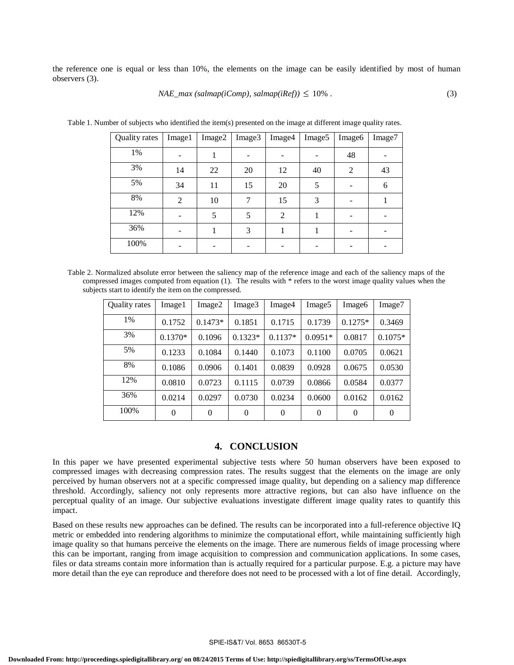the reference one is equal or less than 10%, the elements on the image can be easily identified by most of human observers (3).

$$
NAE\_max\ (salmap(iComp), salmap(iRef)) \leq 10\% \ . \tag{3}
$$

| Quality rates | Image1         | Image2 | Image3 | Image4 | Image <sub>5</sub> | Image <sub>6</sub> | Image7 |
|---------------|----------------|--------|--------|--------|--------------------|--------------------|--------|
| 1%            |                |        |        |        |                    | 48                 |        |
| 3%            | 14             | 22     | 20     | 12     | 40                 | 2                  | 43     |
| 5%            | 34             | 11     | 15     | 20     | 5                  |                    | 6      |
| 8%            | $\overline{2}$ | 10     | 7      | 15     | 3                  |                    |        |
| 12%           |                | 5      | 5      | 2      |                    |                    |        |
| 36%           |                |        | 3      |        |                    |                    |        |
| 100%          |                |        |        |        |                    |                    |        |

Table 1. Number of subjects who identified the item(s) presented on the image at different image quality rates.

Table 2. Normalized absolute error between the saliency map of the reference image and each of the saliency maps of the compressed images computed from equation (1). The results with \* refers to the worst image quality values when the subjects start to identify the item on the compressed.

| Quality rates | Image1    | Image2    | Image3    | Image4    | Image <sub>5</sub> | Image6    | Image7    |
|---------------|-----------|-----------|-----------|-----------|--------------------|-----------|-----------|
| 1%            | 0.1752    | $0.1473*$ | 0.1851    | 0.1715    | 0.1739             | $0.1275*$ | 0.3469    |
| 3%            | $0.1370*$ | 0.1096    | $0.1323*$ | $0.1137*$ | $0.0951*$          | 0.0817    | $0.1075*$ |
| 5%            | 0.1233    | 0.1084    | 0.1440    | 0.1073    | 0.1100             | 0.0705    | 0.0621    |
| 8%            | 0.1086    | 0.0906    | 0.1401    | 0.0839    | 0.0928             | 0.0675    | 0.0530    |
| 12%           | 0.0810    | 0.0723    | 0.1115    | 0.0739    | 0.0866             | 0.0584    | 0.0377    |
| 36%           | 0.0214    | 0.0297    | 0.0730    | 0.0234    | 0.0600             | 0.0162    | 0.0162    |
| 100%          | $\Omega$  | $\theta$  | $\Omega$  | $\Omega$  | $\theta$           | $\Omega$  | $\theta$  |

## **4. CONCLUSION**

In this paper we have presented experimental subjective tests where 50 human observers have been exposed to compressed images with decreasing compression rates. The results suggest that the elements on the image are only perceived by human observers not at a specific compressed image quality, but depending on a saliency map difference threshold. Accordingly, saliency not only represents more attractive regions, but can also have influence on the perceptual quality of an image. Our subjective evaluations investigate different image quality rates to quantify this impact.

Based on these results new approaches can be defined. The results can be incorporated into a full-reference objective IQ metric or embedded into rendering algorithms to minimize the computational effort, while maintaining sufficiently high image quality so that humans perceive the elements on the image. There are numerous fields of image processing where this can be important, ranging from image acquisition to compression and communication applications. In some cases, files or data streams contain more information than is actually required for a particular purpose. E.g. a picture may have more detail than the eye can reproduce and therefore does not need to be processed with a lot of fine detail. Accordingly,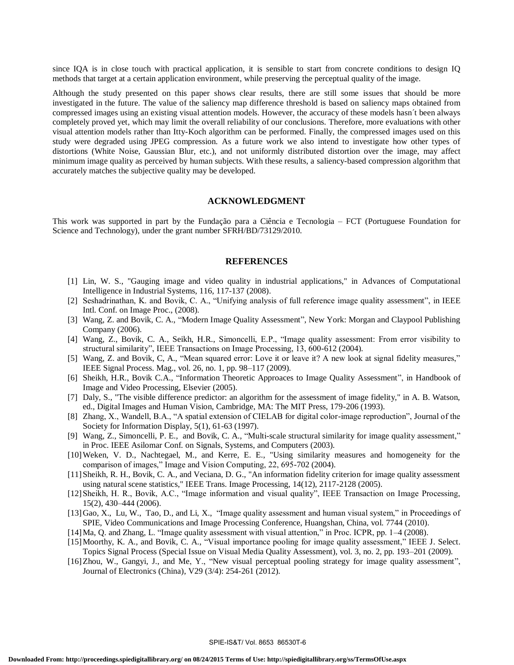since IQA is in close touch with practical application, it is sensible to start from concrete conditions to design IQ methods that target at a certain application environment, while preserving the perceptual quality of the image.

Although the study presented on this paper shows clear results, there are still some issues that should be more investigated in the future. The value of the saliency map difference threshold is based on saliency maps obtained from compressed images using an existing visual attention models. However, the accuracy of these models hasn´t been always completely proved yet, which may limit the overall reliability of our conclusions. Therefore, more evaluations with other visual attention models rather than Itty-Koch algorithm can be performed. Finally, the compressed images used on this study were degraded using JPEG compression. As a future work we also intend to investigate how other types of distortions (White Noise, Gaussian Blur, etc.), and not uniformly distributed distortion over the image, may affect minimum image quality as perceived by human subjects. With these results, a saliency-based compression algorithm that accurately matches the subjective quality may be developed.

## **ACKNOWLEDGMENT**

This work was supported in part by the Fundação para a Ciência e Tecnologia – FCT (Portuguese Foundation for Science and Technology), under the grant number SFRH/BD/73129/2010.

#### **REFERENCES**

- [1] Lin, W. S., "Gauging image and video quality in industrial applications," in Advances of Computational Intelligence in Industrial Systems, 116, 117-137 (2008).
- [2] Seshadrinathan, K. and Bovik, C. A., "Unifying analysis of full reference image quality assessment", in IEEE Intl. Conf. on Image Proc., (2008).
- [3] Wang, Z. and Bovik, C. A., "Modern Image Quality Assessment", New York: Morgan and Claypool Publishing Company (2006).
- [4] Wang, Z., Bovik, C. A., Seikh, H.R., Simoncelli, E.P., "Image quality assessment: From error visibility to structural similarity", IEEE Transactions on Image Processing, 13, 600-612 (2004).
- [5] Wang, Z. and Bovik, C, A., "Mean squared error: Love it or leave it? A new look at signal fidelity measures," IEEE Signal Process. Mag., vol. 26, no. 1, pp. 98–117 (2009).
- [6] Sheikh, H.R., Bovik C.A., "Information Theoretic Approaces to Image Quality Assessment", in Handbook of Image and Video Processing, Elsevier (2005).
- [7] Daly, S., "The visible difference predictor: an algorithm for the assessment of image fidelity," in A. B. Watson, ed., Digital Images and Human Vision, Cambridge, MA: The MIT Press, 179-206 (1993).
- [8] Zhang, X., Wandell, B.A., "A spatial extension of CIELAB for digital color-image reproduction", Journal of the Society for Information Display, 5(1), 61-63 (1997).
- [9] Wang, Z., Simoncelli, P. E., and Bovik, C. A., "Multi-scale structural similarity for image quality assessment," in Proc. IEEE Asilomar Conf. on Signals, Systems, and Computers (2003).
- [10]Weken, V. D., Nachtegael, M., and Kerre, E. E., "Using similarity measures and homogeneity for the comparison of images," Image and Vision Computing, 22, 695-702 (2004).
- [11]Sheikh, R. H., Bovik, C. A., and Veciana, D. G., "An information fidelity criterion for image quality assessment using natural scene statistics," IEEE Trans. Image Processing, 14(12), 2117-2128 (2005).
- [12]Sheikh, H. R., Bovik, A.C., "Image information and visual quality", IEEE Transaction on Image Processing, 15(2), 430–444 (2006).
- [13]Gao, X., Lu, W., Tao, D., and Li, X., "Image quality assessment and human visual system," in Proceedings of SPIE, Video Communications and Image Processing Conference, Huangshan, China, vol. 7744 (2010).
- [14]Ma, Q. and Zhang, L. "Image quality assessment with visual attention," in Proc. ICPR, pp. 1–4 (2008).
- [15]Moorthy, K. A., and Bovik, C. A., "Visual importance pooling for image quality assessment," IEEE J. Select. Topics Signal Process (Special Issue on Visual Media Quality Assessment), vol. 3, no. 2, pp. 193–201 (2009).
- [16]Zhou, W., Gangyi, J., and Me, Y., "New visual perceptual pooling strategy for image quality assessment", Journal of Electronics (China), V29 (3/4): 254-261 (2012).